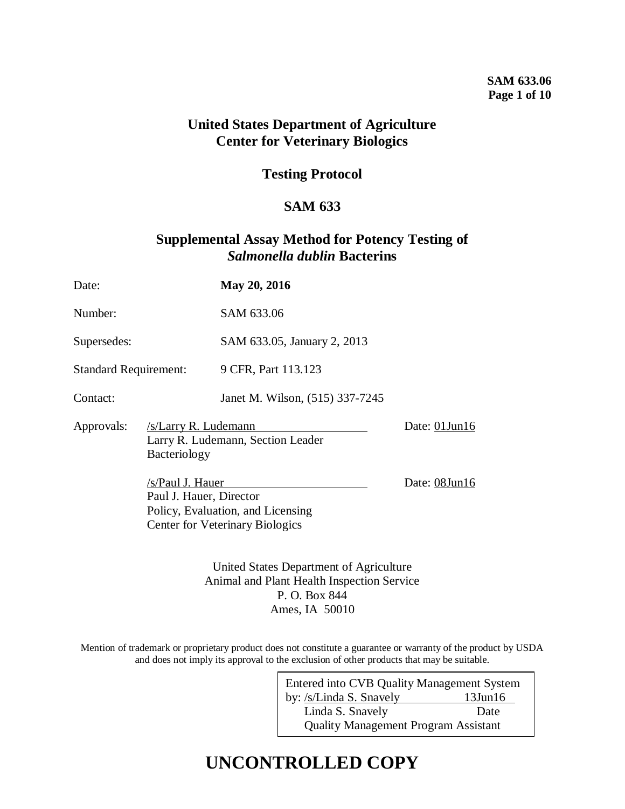### **SAM 633.06 Page 1 of 10**

## **United States Department of Agriculture Center for Veterinary Biologics**

## **Testing Protocol**

## **SAM 633**

## **Supplemental Assay Method for Potency Testing of**  *Salmonella dublin* **Bacterins**

| Date:                                              |                                             | May 20, 2016                                                                |               |
|----------------------------------------------------|---------------------------------------------|-----------------------------------------------------------------------------|---------------|
| Number:                                            |                                             | SAM 633.06                                                                  |               |
| Supersedes:                                        |                                             | SAM 633.05, January 2, 2013                                                 |               |
| <b>Standard Requirement:</b>                       |                                             | 9 CFR, Part 113.123                                                         |               |
| Contact:                                           |                                             | Janet M. Wilson, (515) 337-7245                                             |               |
| /s/Larry R. Ludemann<br>Approvals:<br>Bacteriology |                                             | Larry R. Ludemann, Section Leader                                           | Date: 01Jun16 |
|                                                    | /s/Paul J. Hauer<br>Paul J. Hauer, Director | Policy, Evaluation, and Licensing<br><b>Center for Veterinary Biologics</b> | Date: 08Jun16 |
|                                                    |                                             | United States Department of Agriculture                                     |               |

Animal and Plant Health Inspection Service P. O. Box 844 Ames, IA 50010

Mention of trademark or proprietary product does not constitute a guarantee or warranty of the product by USDA and does not imply its approval to the exclusion of other products that may be suitable.

| Entered into CVB Quality Management System  |               |  |  |  |
|---------------------------------------------|---------------|--|--|--|
| by: /s/Linda S. Snavely                     | $13$ Jun $16$ |  |  |  |
| Linda S. Snavely                            | Date          |  |  |  |
| <b>Quality Management Program Assistant</b> |               |  |  |  |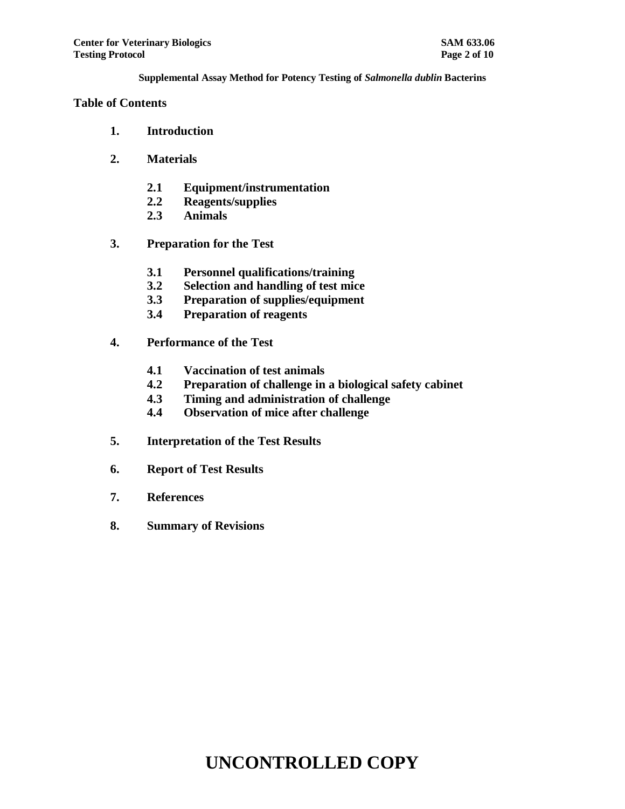#### **Table of Contents**

- **1. Introduction**
- **2. Materials**
	- **2.1 Equipment/instrumentation**
	- **2.2 Reagents/supplies**
	- **2.3 Animals**
- **3. Preparation for the Test**
	- **3.1 Personnel qualifications/training**
	- **3.2 Selection and handling of test mice**
	- **3.3 Preparation of supplies/equipment**
	- **3.4 Preparation of reagents**
- **4. Performance of the Test**
	- **4.1 Vaccination of test animals**
	- **4.2 Preparation of challenge in a biological safety cabinet**
	- **4.3 Timing and administration of challenge**
	- **4.4 Observation of mice after challenge**
- **5. Interpretation of the Test Results**
- **6. Report of Test Results**
- **7. References**
- **8. Summary of Revisions**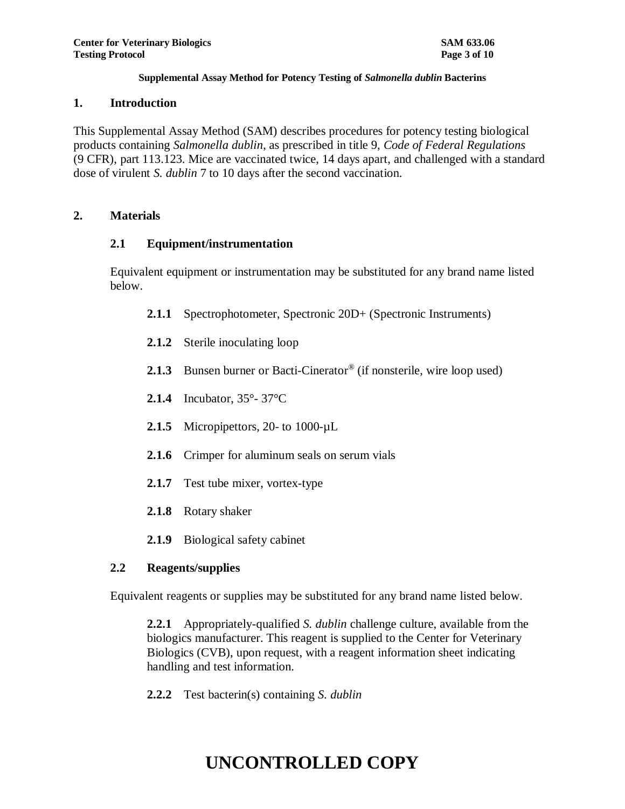### **1. Introduction**

This Supplemental Assay Method (SAM) describes procedures for potency testing biological products containing *Salmonella dublin*, as prescribed in title 9, *Code of Federal Regulations* (9 CFR), part 113.123. Mice are vaccinated twice, 14 days apart, and challenged with a standard dose of virulent *S. dublin* 7 to 10 days after the second vaccination.

## **2. Materials**

## **2.1 Equipment/instrumentation**

Equivalent equipment or instrumentation may be substituted for any brand name listed below.

- **2.1.1** Spectrophotometer, Spectronic 20D+ (Spectronic Instruments)
- **2.1.2** Sterile inoculating loop
- 2.1.3 Bunsen burner or Bacti-Cinerator<sup>®</sup> (if nonsterile, wire loop used)
- **2.1.4** Incubator, 35°- 37°C
- 2.1.5 Micropipettors, 20- to 1000-µL
- **2.1.6** Crimper for aluminum seals on serum vials
- **2.1.7** Test tube mixer, vortex-type
- **2.1.8** Rotary shaker
- **2.1.9** Biological safety cabinet

## **2.2 Reagents/supplies**

Equivalent reagents or supplies may be substituted for any brand name listed below.

**2.2.1** Appropriately-qualified *S. dublin* challenge culture, available from the biologics manufacturer. This reagent is supplied to the Center for Veterinary Biologics (CVB), upon request, with a reagent information sheet indicating handling and test information.

**2.2.2** Test bacterin(s) containing *S. dublin*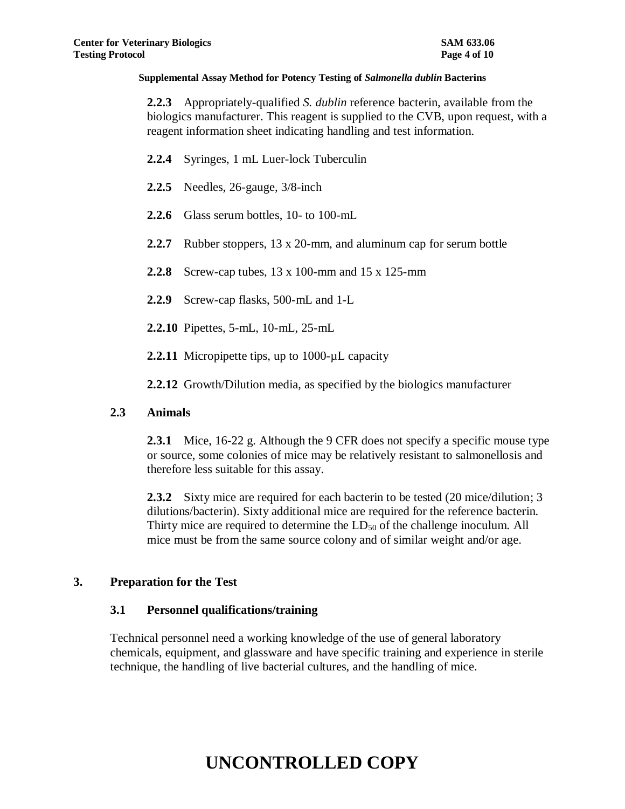**2.2.3** Appropriately-qualified *S. dublin* reference bacterin, available from the biologics manufacturer. This reagent is supplied to the CVB, upon request, with a reagent information sheet indicating handling and test information.

- **2.2.4** Syringes, 1 mL Luer-lock Tuberculin
- **2.2.5** Needles, 26-gauge, 3/8-inch
- **2.2.6** Glass serum bottles, 10- to 100-mL
- **2.2.7** Rubber stoppers, 13 x 20-mm, and aluminum cap for serum bottle
- **2.2.8** Screw-cap tubes, 13 x 100-mm and 15 x 125-mm
- **2.2.9** Screw-cap flasks, 500-mL and 1-L
- **2.2.10** Pipettes, 5-mL, 10-mL, 25-mL
- 2.2.11 Micropipette tips, up to 1000-µL capacity
- **2.2.12** Growth/Dilution media, as specified by the biologics manufacturer

#### **2.3 Animals**

**2.3.1** Mice, 16-22 g. Although the 9 CFR does not specify a specific mouse type or source, some colonies of mice may be relatively resistant to salmonellosis and therefore less suitable for this assay.

**2.3.2** Sixty mice are required for each bacterin to be tested (20 mice/dilution; 3 dilutions/bacterin). Sixty additional mice are required for the reference bacterin. Thirty mice are required to determine the  $LD_{50}$  of the challenge inoculum. All mice must be from the same source colony and of similar weight and/or age.

#### **3. Preparation for the Test**

#### **3.1 Personnel qualifications/training**

Technical personnel need a working knowledge of the use of general laboratory chemicals, equipment, and glassware and have specific training and experience in sterile technique, the handling of live bacterial cultures, and the handling of mice.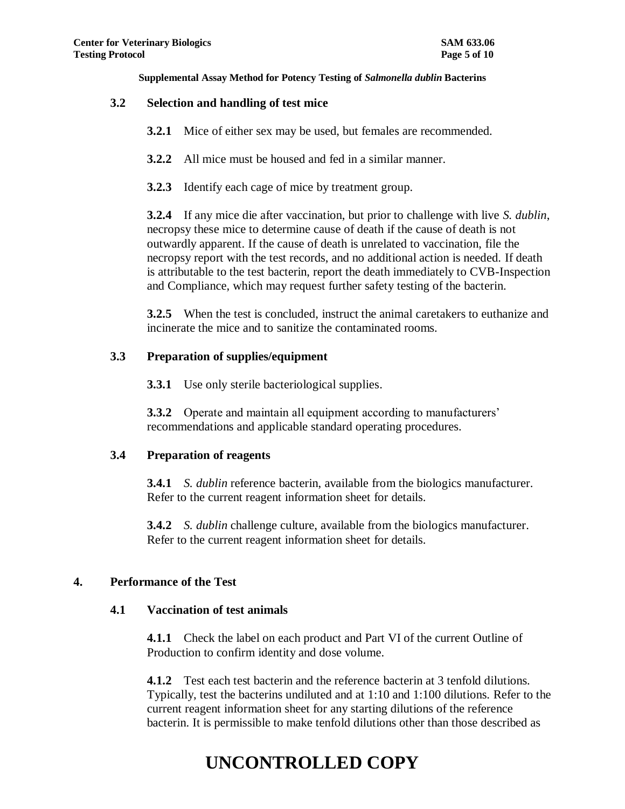### **3.2 Selection and handling of test mice**

- **3.2.1** Mice of either sex may be used, but females are recommended.
- **3.2.2** All mice must be housed and fed in a similar manner.
- **3.2.3** Identify each cage of mice by treatment group.

**3.2.4** If any mice die after vaccination, but prior to challenge with live *S. dublin*, necropsy these mice to determine cause of death if the cause of death is not outwardly apparent. If the cause of death is unrelated to vaccination, file the necropsy report with the test records, and no additional action is needed. If death is attributable to the test bacterin, report the death immediately to CVB-Inspection and Compliance, which may request further safety testing of the bacterin.

**3.2.5** When the test is concluded, instruct the animal caretakers to euthanize and incinerate the mice and to sanitize the contaminated rooms.

### **3.3 Preparation of supplies/equipment**

**3.3.1** Use only sterile bacteriological supplies.

**3.3.2** Operate and maintain all equipment according to manufacturers' recommendations and applicable standard operating procedures.

#### **3.4 Preparation of reagents**

**3.4.1** *S. dublin* reference bacterin, available from the biologics manufacturer. Refer to the current reagent information sheet for details.

**3.4.2** *S. dublin* challenge culture, available from the biologics manufacturer. Refer to the current reagent information sheet for details.

## **4. Performance of the Test**

#### **4.1 Vaccination of test animals**

**4.1.1** Check the label on each product and Part VI of the current Outline of Production to confirm identity and dose volume.

**4.1.2** Test each test bacterin and the reference bacterin at 3 tenfold dilutions. Typically, test the bacterins undiluted and at 1:10 and 1:100 dilutions. Refer to the current reagent information sheet for any starting dilutions of the reference bacterin. It is permissible to make tenfold dilutions other than those described as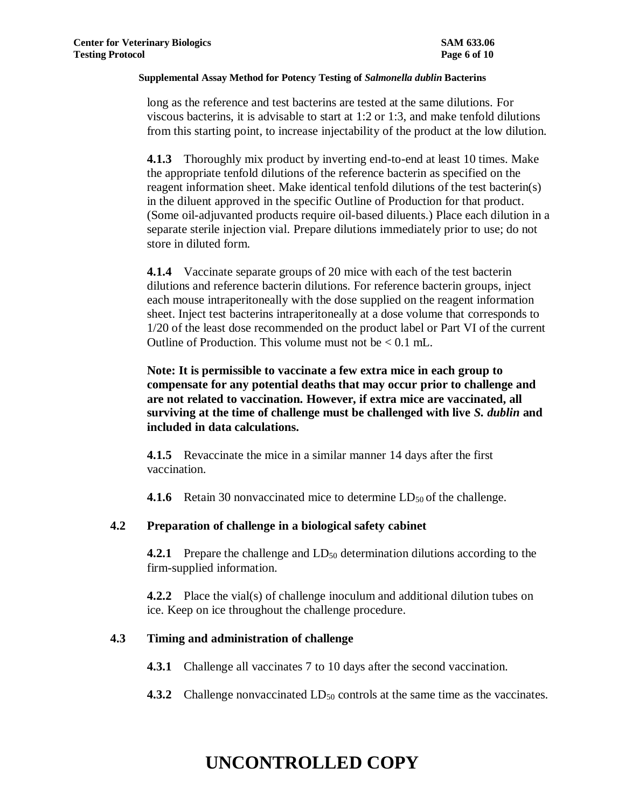long as the reference and test bacterins are tested at the same dilutions. For viscous bacterins, it is advisable to start at 1:2 or 1:3, and make tenfold dilutions from this starting point, to increase injectability of the product at the low dilution.

**4.1.3** Thoroughly mix product by inverting end-to-end at least 10 times. Make the appropriate tenfold dilutions of the reference bacterin as specified on the reagent information sheet. Make identical tenfold dilutions of the test bacterin(s) in the diluent approved in the specific Outline of Production for that product. (Some oil-adjuvanted products require oil-based diluents.) Place each dilution in a separate sterile injection vial. Prepare dilutions immediately prior to use; do not store in diluted form.

**4.1.4** Vaccinate separate groups of 20 mice with each of the test bacterin dilutions and reference bacterin dilutions. For reference bacterin groups, inject each mouse intraperitoneally with the dose supplied on the reagent information sheet. Inject test bacterins intraperitoneally at a dose volume that corresponds to 1/20 of the least dose recommended on the product label or Part VI of the current Outline of Production. This volume must not be  $< 0.1$  mL.

**Note: It is permissible to vaccinate a few extra mice in each group to compensate for any potential deaths that may occur prior to challenge and are not related to vaccination. However, if extra mice are vaccinated, all surviving at the time of challenge must be challenged with live** *S. dublin* **and included in data calculations.**

**4.1.5** Revaccinate the mice in a similar manner 14 days after the first vaccination.

**4.1.6** Retain 30 nonvaccinated mice to determine LD<sub>50</sub> of the challenge.

## **4.2 Preparation of challenge in a biological safety cabinet**

**4.2.1** Prepare the challenge and LD<sub>50</sub> determination dilutions according to the firm-supplied information.

**4.2.2** Place the vial(s) of challenge inoculum and additional dilution tubes on ice. Keep on ice throughout the challenge procedure.

## **4.3 Timing and administration of challenge**

**4.3.1** Challenge all vaccinates 7 to 10 days after the second vaccination.

**4.3.2** Challenge nonvaccinated LD<sub>50</sub> controls at the same time as the vaccinates.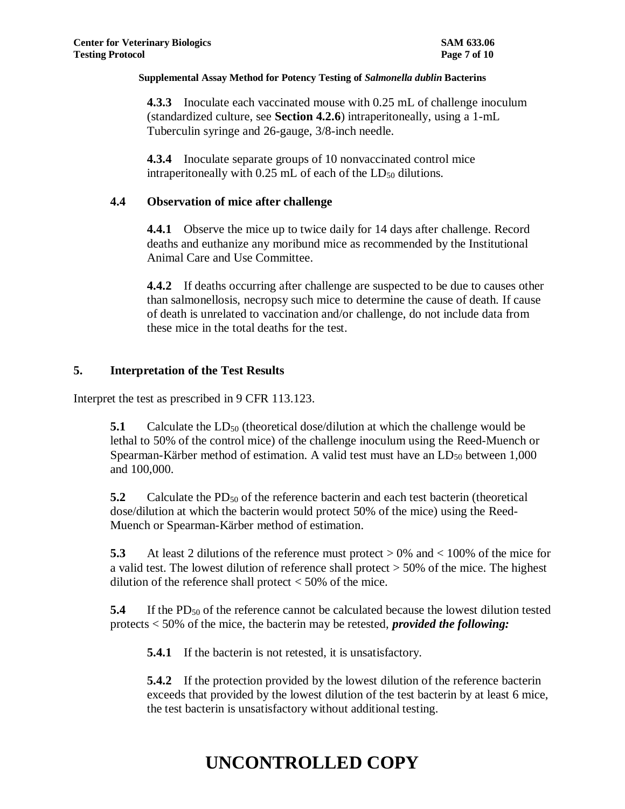**4.3.3** Inoculate each vaccinated mouse with 0.25 mL of challenge inoculum (standardized culture, see **Section 4.2.6**) intraperitoneally, using a 1-mL Tuberculin syringe and 26-gauge, 3/8-inch needle.

**4.3.4** Inoculate separate groups of 10 nonvaccinated control mice intraperitoneally with  $0.25$  mL of each of the  $LD_{50}$  dilutions.

## **4.4 Observation of mice after challenge**

**4.4.1** Observe the mice up to twice daily for 14 days after challenge. Record deaths and euthanize any moribund mice as recommended by the Institutional Animal Care and Use Committee.

**4.4.2** If deaths occurring after challenge are suspected to be due to causes other than salmonellosis, necropsy such mice to determine the cause of death. If cause of death is unrelated to vaccination and/or challenge, do not include data from these mice in the total deaths for the test.

## **5. Interpretation of the Test Results**

Interpret the test as prescribed in 9 CFR 113.123.

**5.1** Calculate the LD<sub>50</sub> (theoretical dose/dilution at which the challenge would be lethal to 50% of the control mice) of the challenge inoculum using the Reed-Muench or Spearman-Kärber method of estimation. A valid test must have an  $LD_{50}$  between 1,000 and 100,000.

**5.2** Calculate the PD<sub>50</sub> of the reference bacterin and each test bacterin (theoretical dose/dilution at which the bacterin would protect 50% of the mice) using the Reed-Muench or Spearman-Kärber method of estimation.

**5.3** At least 2 dilutions of the reference must protect > 0% and < 100% of the mice for a valid test. The lowest dilution of reference shall protect > 50% of the mice. The highest dilution of the reference shall protect  $<$  50% of the mice.

**5.4** If the PD<sub>50</sub> of the reference cannot be calculated because the lowest dilution tested protects < 50% of the mice, the bacterin may be retested, *provided the following:*

**5.4.1** If the bacterin is not retested, it is unsatisfactory.

**5.4.2** If the protection provided by the lowest dilution of the reference bacterin exceeds that provided by the lowest dilution of the test bacterin by at least 6 mice, the test bacterin is unsatisfactory without additional testing.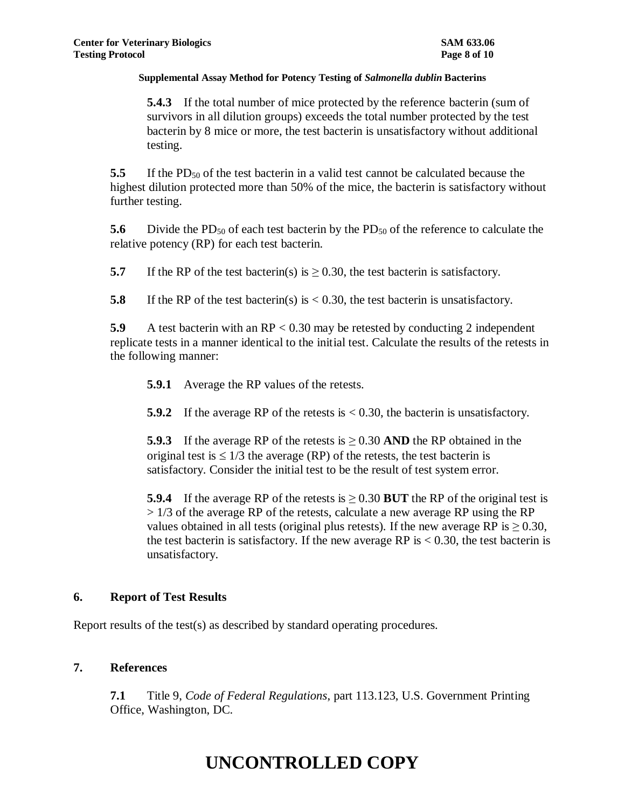**5.4.3** If the total number of mice protected by the reference bacterin (sum of survivors in all dilution groups) exceeds the total number protected by the test bacterin by 8 mice or more, the test bacterin is unsatisfactory without additional testing.

**5.5** If the PD<sub>50</sub> of the test bacterin in a valid test cannot be calculated because the highest dilution protected more than 50% of the mice, the bacterin is satisfactory without further testing.

**5.6** Divide the PD<sub>50</sub> of each test bacterin by the PD<sub>50</sub> of the reference to calculate the relative potency (RP) for each test bacterin.

**5.7** If the RP of the test bacterin(s) is  $\geq$  0.30, the test bacterin is satisfactory.

**5.8** If the RP of the test bacterin(s) is  $\lt$  0.30, the test bacterin is unsatisfactory.

**5.9** A test bacterin with an RP < 0.30 may be retested by conducting 2 independent replicate tests in a manner identical to the initial test. Calculate the results of the retests in the following manner:

**5.9.1** Average the RP values of the retests.

**5.9.2** If the average RP of the retests is < 0.30, the bacterin is unsatisfactory.

**5.9.3** If the average RP of the retests is  $\geq 0.30$  AND the RP obtained in the original test is  $\leq 1/3$  the average (RP) of the retests, the test bacterin is satisfactory. Consider the initial test to be the result of test system error.

**5.9.4** If the average RP of the retests is  $\geq 0.30$  BUT the RP of the original test is  $> 1/3$  of the average RP of the retests, calculate a new average RP using the RP values obtained in all tests (original plus retests). If the new average RP is  $\geq$  0.30, the test bacterin is satisfactory. If the new average RP is  $< 0.30$ , the test bacterin is unsatisfactory.

## **6. Report of Test Results**

Report results of the test(s) as described by standard operating procedures.

## **7. References**

**7.1** Title 9, *Code of Federal Regulations*, part 113.123, U.S. Government Printing Office, Washington, DC.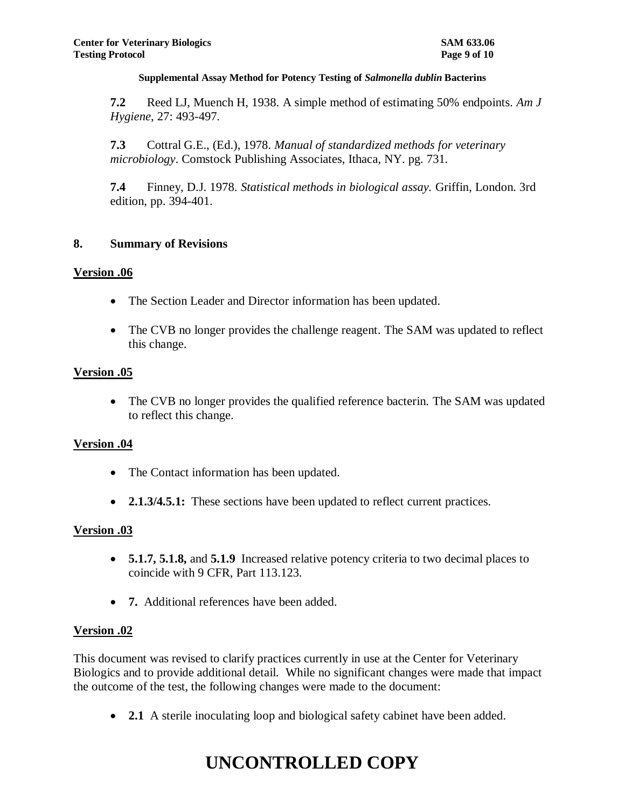**7.2** Reed LJ, Muench H, 1938. A simple method of estimating 50% endpoints. *Am J Hygiene*, 27: 493-497.

**7.3** Cottral G.E., (Ed.), 1978. *Manual of standardized methods for veterinary microbiology*. Comstock Publishing Associates, Ithaca, NY. pg. 731.

**7.4** Finney, D.J. 1978. *Statistical methods in biological assay.* Griffin, London. 3rd edition, pp. 394-401.

### **8. Summary of Revisions**

### **Version .06**

- The Section Leader and Director information has been updated.
- The CVB no longer provides the challenge reagent. The SAM was updated to reflect this change.

### **Version .05**

• The CVB no longer provides the qualified reference bacterin. The SAM was updated to reflect this change.

## **Version .04**

- The Contact information has been updated.
- **2.1.3/4.5.1:** These sections have been updated to reflect current practices.

#### **Version .03**

- **5.1.7, 5.1.8,** and **5.1.9** Increased relative potency criteria to two decimal places to coincide with 9 CFR, Part 113.123.
- **7.** Additional references have been added.

#### **Version .02**

This document was revised to clarify practices currently in use at the Center for Veterinary Biologics and to provide additional detail. While no significant changes were made that impact the outcome of the test, the following changes were made to the document:

**2.1** A sterile inoculating loop and biological safety cabinet have been added.